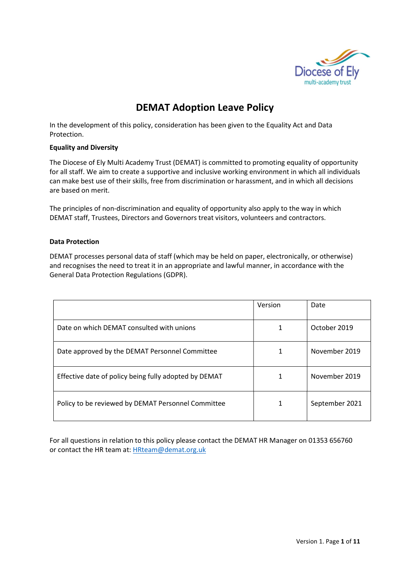

# DEMAT Adoption Leave Policy

In the development of this policy, consideration has been given to the Equality Act and Data Protection.

### Equality and Diversity

The Diocese of Ely Multi Academy Trust (DEMAT) is committed to promoting equality of opportunity for all staff. We aim to create a supportive and inclusive working environment in which all individuals can make best use of their skills, free from discrimination or harassment, and in which all decisions are based on merit.

The principles of non-discrimination and equality of opportunity also apply to the way in which DEMAT staff, Trustees, Directors and Governors treat visitors, volunteers and contractors.

# Data Protection

DEMAT processes personal data of staff (which may be held on paper, electronically, or otherwise) and recognises the need to treat it in an appropriate and lawful manner, in accordance with the General Data Protection Regulations (GDPR).

|                                                       | Version | Date           |
|-------------------------------------------------------|---------|----------------|
| Date on which DEMAT consulted with unions             |         | October 2019   |
| Date approved by the DEMAT Personnel Committee        |         | November 2019  |
| Effective date of policy being fully adopted by DEMAT |         | November 2019  |
| Policy to be reviewed by DEMAT Personnel Committee    | 1       | September 2021 |

For all questions in relation to this policy please contact the DEMAT HR Manager on 01353 656760 or contact the HR team at: HRteam@demat.org.uk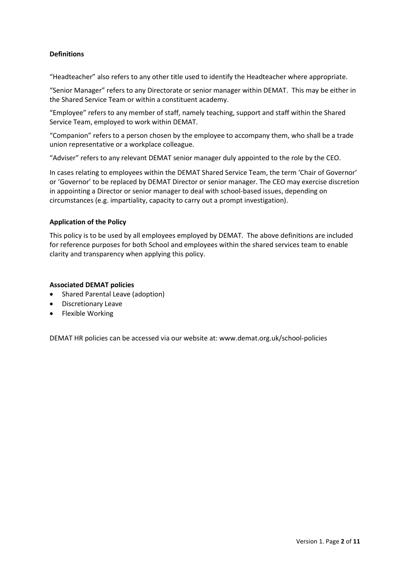# **Definitions**

"Headteacher" also refers to any other title used to identify the Headteacher where appropriate.

"Senior Manager" refers to any Directorate or senior manager within DEMAT. This may be either in the Shared Service Team or within a constituent academy.

"Employee" refers to any member of staff, namely teaching, support and staff within the Shared Service Team, employed to work within DEMAT.

"Companion" refers to a person chosen by the employee to accompany them, who shall be a trade union representative or a workplace colleague.

"Adviser" refers to any relevant DEMAT senior manager duly appointed to the role by the CEO.

In cases relating to employees within the DEMAT Shared Service Team, the term 'Chair of Governor' or 'Governor' to be replaced by DEMAT Director or senior manager. The CEO may exercise discretion in appointing a Director or senior manager to deal with school-based issues, depending on circumstances (e.g. impartiality, capacity to carry out a prompt investigation).

#### Application of the Policy

This policy is to be used by all employees employed by DEMAT. The above definitions are included for reference purposes for both School and employees within the shared services team to enable clarity and transparency when applying this policy.

#### Associated DEMAT policies

- Shared Parental Leave (adoption)
- **•** Discretionary Leave
- Flexible Working

DEMAT HR policies can be accessed via our website at: www.demat.org.uk/school-policies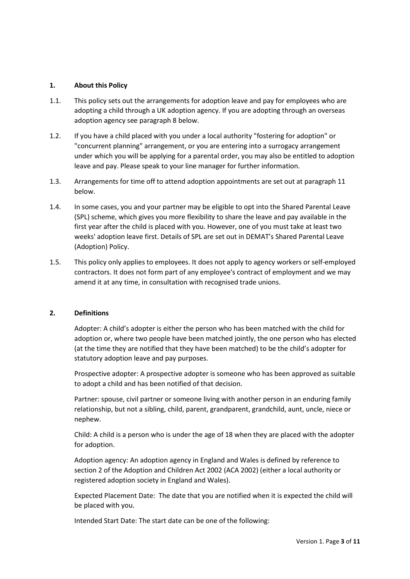#### 1. About this Policy

- 1.1. This policy sets out the arrangements for adoption leave and pay for employees who are adopting a child through a UK adoption agency. If you are adopting through an overseas adoption agency see paragraph 8 below.
- 1.2. If you have a child placed with you under a local authority "fostering for adoption" or "concurrent planning" arrangement, or you are entering into a surrogacy arrangement under which you will be applying for a parental order, you may also be entitled to adoption leave and pay. Please speak to your line manager for further information.
- 1.3. Arrangements for time off to attend adoption appointments are set out at paragraph 11 below.
- 1.4. In some cases, you and your partner may be eligible to opt into the Shared Parental Leave (SPL) scheme, which gives you more flexibility to share the leave and pay available in the first year after the child is placed with you. However, one of you must take at least two weeks' adoption leave first. Details of SPL are set out in DEMAT's Shared Parental Leave (Adoption) Policy.
- 1.5. This policy only applies to employees. It does not apply to agency workers or self-employed contractors. It does not form part of any employee's contract of employment and we may amend it at any time, in consultation with recognised trade unions.

#### 2. Definitions

Adopter: A child's adopter is either the person who has been matched with the child for adoption or, where two people have been matched jointly, the one person who has elected (at the time they are notified that they have been matched) to be the child's adopter for statutory adoption leave and pay purposes.

Prospective adopter: A prospective adopter is someone who has been approved as suitable to adopt a child and has been notified of that decision.

Partner: spouse, civil partner or someone living with another person in an enduring family relationship, but not a sibling, child, parent, grandparent, grandchild, aunt, uncle, niece or nephew.

Child: A child is a person who is under the age of 18 when they are placed with the adopter for adoption.

Adoption agency: An adoption agency in England and Wales is defined by reference to section 2 of the Adoption and Children Act 2002 (ACA 2002) (either a local authority or registered adoption society in England and Wales).

Expected Placement Date: The date that you are notified when it is expected the child will be placed with you.

Intended Start Date: The start date can be one of the following: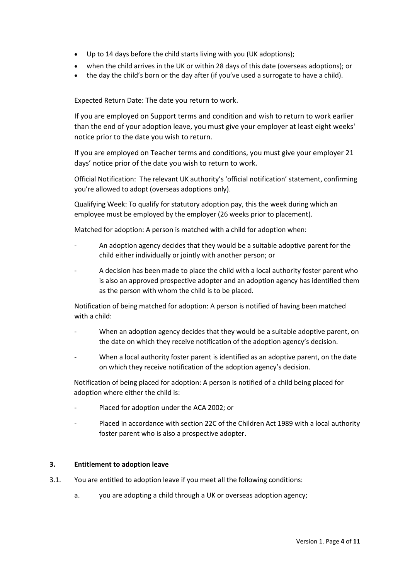- Up to 14 days before the child starts living with you (UK adoptions);
- when the child arrives in the UK or within 28 days of this date (overseas adoptions); or
- the day the child's born or the day after (if you've used a surrogate to have a child).

Expected Return Date: The date you return to work.

If you are employed on Support terms and condition and wish to return to work earlier than the end of your adoption leave, you must give your employer at least eight weeks' notice prior to the date you wish to return.

If you are employed on Teacher terms and conditions, you must give your employer 21 days' notice prior of the date you wish to return to work.

 Official Notification: The relevant UK authority's 'official notification' statement, confirming you're allowed to adopt (overseas adoptions only).

 Qualifying Week: To qualify for statutory adoption pay, this the week during which an employee must be employed by the employer (26 weeks prior to placement).

Matched for adoption: A person is matched with a child for adoption when:

- An adoption agency decides that they would be a suitable adoptive parent for the child either individually or jointly with another person; or
- A decision has been made to place the child with a local authority foster parent who is also an approved prospective adopter and an adoption agency has identified them as the person with whom the child is to be placed.

Notification of being matched for adoption: A person is notified of having been matched with a child:

- When an adoption agency decides that they would be a suitable adoptive parent, on the date on which they receive notification of the adoption agency's decision.
- When a local authority foster parent is identified as an adoptive parent, on the date on which they receive notification of the adoption agency's decision.

Notification of being placed for adoption: A person is notified of a child being placed for adoption where either the child is:

- Placed for adoption under the ACA 2002; or
- Placed in accordance with section 22C of the Children Act 1989 with a local authority foster parent who is also a prospective adopter.

### 3. Entitlement to adoption leave

- 3.1. You are entitled to adoption leave if you meet all the following conditions:
	- a. you are adopting a child through a UK or overseas adoption agency;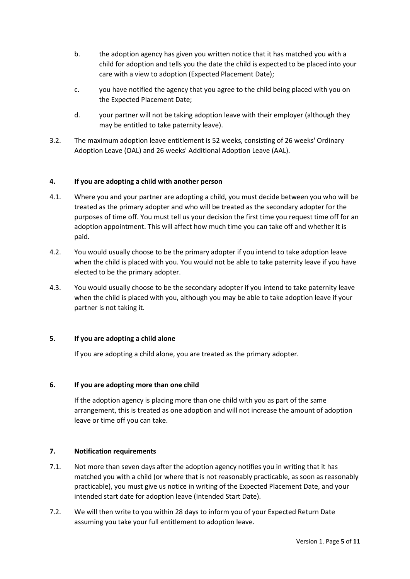- b. the adoption agency has given you written notice that it has matched you with a child for adoption and tells you the date the child is expected to be placed into your care with a view to adoption (Expected Placement Date);
- c. you have notified the agency that you agree to the child being placed with you on the Expected Placement Date;
- d. your partner will not be taking adoption leave with their employer (although they may be entitled to take paternity leave).
- 3.2. The maximum adoption leave entitlement is 52 weeks, consisting of 26 weeks' Ordinary Adoption Leave (OAL) and 26 weeks' Additional Adoption Leave (AAL).

# 4. If you are adopting a child with another person

- 4.1. Where you and your partner are adopting a child, you must decide between you who will be treated as the primary adopter and who will be treated as the secondary adopter for the purposes of time off. You must tell us your decision the first time you request time off for an adoption appointment. This will affect how much time you can take off and whether it is paid.
- 4.2. You would usually choose to be the primary adopter if you intend to take adoption leave when the child is placed with you. You would not be able to take paternity leave if you have elected to be the primary adopter.
- 4.3. You would usually choose to be the secondary adopter if you intend to take paternity leave when the child is placed with you, although you may be able to take adoption leave if your partner is not taking it.

#### 5. If you are adopting a child alone

If you are adopting a child alone, you are treated as the primary adopter.

#### 6. If you are adopting more than one child

If the adoption agency is placing more than one child with you as part of the same arrangement, this is treated as one adoption and will not increase the amount of adoption leave or time off you can take.

#### 7. Notification requirements

- 7.1. Not more than seven days after the adoption agency notifies you in writing that it has matched you with a child (or where that is not reasonably practicable, as soon as reasonably practicable), you must give us notice in writing of the Expected Placement Date, and your intended start date for adoption leave (Intended Start Date).
- 7.2. We will then write to you within 28 days to inform you of your Expected Return Date assuming you take your full entitlement to adoption leave.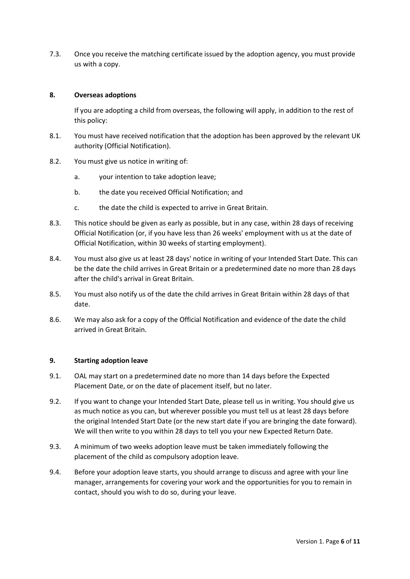7.3. Once you receive the matching certificate issued by the adoption agency, you must provide us with a copy.

## 8. Overseas adoptions

If you are adopting a child from overseas, the following will apply, in addition to the rest of this policy:

- 8.1. You must have received notification that the adoption has been approved by the relevant UK authority (Official Notification).
- 8.2. You must give us notice in writing of:
	- a. your intention to take adoption leave;
	- b. the date you received Official Notification; and
	- c. the date the child is expected to arrive in Great Britain.
- 8.3. This notice should be given as early as possible, but in any case, within 28 days of receiving Official Notification (or, if you have less than 26 weeks' employment with us at the date of Official Notification, within 30 weeks of starting employment).
- 8.4. You must also give us at least 28 days' notice in writing of your Intended Start Date. This can be the date the child arrives in Great Britain or a predetermined date no more than 28 days after the child's arrival in Great Britain.
- 8.5. You must also notify us of the date the child arrives in Great Britain within 28 days of that date.
- 8.6. We may also ask for a copy of the Official Notification and evidence of the date the child arrived in Great Britain.

#### 9. Starting adoption leave

- 9.1. OAL may start on a predetermined date no more than 14 days before the Expected Placement Date, or on the date of placement itself, but no later.
- 9.2. If you want to change your Intended Start Date, please tell us in writing. You should give us as much notice as you can, but wherever possible you must tell us at least 28 days before the original Intended Start Date (or the new start date if you are bringing the date forward). We will then write to you within 28 days to tell you your new Expected Return Date.
- 9.3. A minimum of two weeks adoption leave must be taken immediately following the placement of the child as compulsory adoption leave.
- 9.4. Before your adoption leave starts, you should arrange to discuss and agree with your line manager, arrangements for covering your work and the opportunities for you to remain in contact, should you wish to do so, during your leave.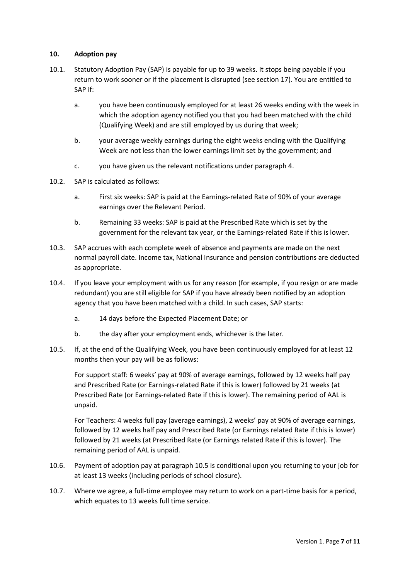#### 10. Adoption pay

- 10.1. Statutory Adoption Pay (SAP) is payable for up to 39 weeks. It stops being payable if you return to work sooner or if the placement is disrupted (see section 17). You are entitled to SAP if:
	- a. you have been continuously employed for at least 26 weeks ending with the week in which the adoption agency notified you that you had been matched with the child (Qualifying Week) and are still employed by us during that week;
	- b. your average weekly earnings during the eight weeks ending with the Qualifying Week are not less than the lower earnings limit set by the government; and
	- c. you have given us the relevant notifications under paragraph 4.
- 10.2. SAP is calculated as follows:
	- a. First six weeks: SAP is paid at the Earnings-related Rate of 90% of your average earnings over the Relevant Period.
	- b. Remaining 33 weeks: SAP is paid at the Prescribed Rate which is set by the government for the relevant tax year, or the Earnings-related Rate if this is lower.
- 10.3. SAP accrues with each complete week of absence and payments are made on the next normal payroll date. Income tax, National Insurance and pension contributions are deducted as appropriate.
- 10.4. If you leave your employment with us for any reason (for example, if you resign or are made redundant) you are still eligible for SAP if you have already been notified by an adoption agency that you have been matched with a child. In such cases, SAP starts:
	- a. 14 days before the Expected Placement Date; or
	- b. the day after your employment ends, whichever is the later.
- 10.5. If, at the end of the Qualifying Week, you have been continuously employed for at least 12 months then your pay will be as follows:

For support staff: 6 weeks' pay at 90% of average earnings, followed by 12 weeks half pay and Prescribed Rate (or Earnings-related Rate if this is lower) followed by 21 weeks (at Prescribed Rate (or Earnings-related Rate if this is lower). The remaining period of AAL is unpaid.

For Teachers: 4 weeks full pay (average earnings), 2 weeks' pay at 90% of average earnings, followed by 12 weeks half pay and Prescribed Rate (or Earnings related Rate if this is lower) followed by 21 weeks (at Prescribed Rate (or Earnings related Rate if this is lower). The remaining period of AAL is unpaid.

- 10.6. Payment of adoption pay at paragraph 10.5 is conditional upon you returning to your job for at least 13 weeks (including periods of school closure).
- 10.7. Where we agree, a full-time employee may return to work on a part-time basis for a period, which equates to 13 weeks full time service.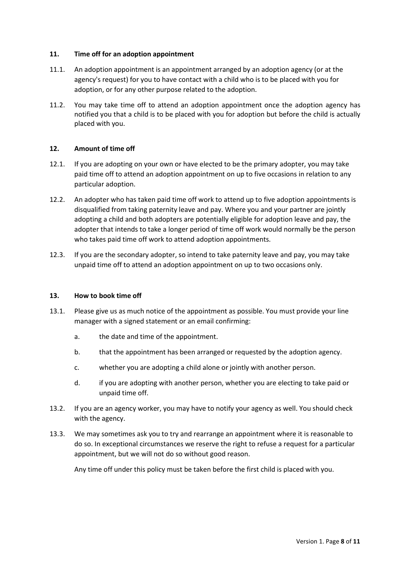#### 11. Time off for an adoption appointment

- 11.1. An adoption appointment is an appointment arranged by an adoption agency (or at the agency's request) for you to have contact with a child who is to be placed with you for adoption, or for any other purpose related to the adoption.
- 11.2. You may take time off to attend an adoption appointment once the adoption agency has notified you that a child is to be placed with you for adoption but before the child is actually placed with you.

#### 12. Amount of time off

- 12.1. If you are adopting on your own or have elected to be the primary adopter, you may take paid time off to attend an adoption appointment on up to five occasions in relation to any particular adoption.
- 12.2. An adopter who has taken paid time off work to attend up to five adoption appointments is disqualified from taking paternity leave and pay. Where you and your partner are jointly adopting a child and both adopters are potentially eligible for adoption leave and pay, the adopter that intends to take a longer period of time off work would normally be the person who takes paid time off work to attend adoption appointments.
- 12.3. If you are the secondary adopter, so intend to take paternity leave and pay, you may take unpaid time off to attend an adoption appointment on up to two occasions only.

#### 13. How to book time off

- 13.1. Please give us as much notice of the appointment as possible. You must provide your line manager with a signed statement or an email confirming:
	- a. the date and time of the appointment.
	- b. that the appointment has been arranged or requested by the adoption agency.
	- c. whether you are adopting a child alone or jointly with another person.
	- d. if you are adopting with another person, whether you are electing to take paid or unpaid time off.
- 13.2. If you are an agency worker, you may have to notify your agency as well. You should check with the agency.
- 13.3. We may sometimes ask you to try and rearrange an appointment where it is reasonable to do so. In exceptional circumstances we reserve the right to refuse a request for a particular appointment, but we will not do so without good reason.

Any time off under this policy must be taken before the first child is placed with you.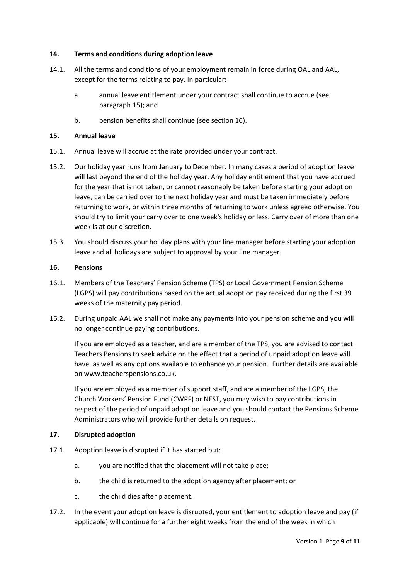### 14. Terms and conditions during adoption leave

- 14.1. All the terms and conditions of your employment remain in force during OAL and AAL, except for the terms relating to pay. In particular:
	- a. annual leave entitlement under your contract shall continue to accrue (see paragraph 15); and
	- b. pension benefits shall continue (see section 16).

#### 15. Annual leave

- 15.1. Annual leave will accrue at the rate provided under your contract.
- 15.2. Our holiday year runs from January to December. In many cases a period of adoption leave will last beyond the end of the holiday year. Any holiday entitlement that you have accrued for the year that is not taken, or cannot reasonably be taken before starting your adoption leave, can be carried over to the next holiday year and must be taken immediately before returning to work, or within three months of returning to work unless agreed otherwise. You should try to limit your carry over to one week's holiday or less. Carry over of more than one week is at our discretion.
- 15.3. You should discuss your holiday plans with your line manager before starting your adoption leave and all holidays are subject to approval by your line manager.

## 16. Pensions

- 16.1. Members of the Teachers' Pension Scheme (TPS) or Local Government Pension Scheme (LGPS) will pay contributions based on the actual adoption pay received during the first 39 weeks of the maternity pay period.
- 16.2. During unpaid AAL we shall not make any payments into your pension scheme and you will no longer continue paying contributions.

If you are employed as a teacher, and are a member of the TPS, you are advised to contact Teachers Pensions to seek advice on the effect that a period of unpaid adoption leave will have, as well as any options available to enhance your pension. Further details are available on www.teacherspensions.co.uk.

If you are employed as a member of support staff, and are a member of the LGPS, the Church Workers' Pension Fund (CWPF) or NEST, you may wish to pay contributions in respect of the period of unpaid adoption leave and you should contact the Pensions Scheme Administrators who will provide further details on request.

# 17. Disrupted adoption

- 17.1. Adoption leave is disrupted if it has started but:
	- a. you are notified that the placement will not take place;
	- b. the child is returned to the adoption agency after placement; or
	- c. the child dies after placement.
- 17.2. In the event your adoption leave is disrupted, your entitlement to adoption leave and pay (if applicable) will continue for a further eight weeks from the end of the week in which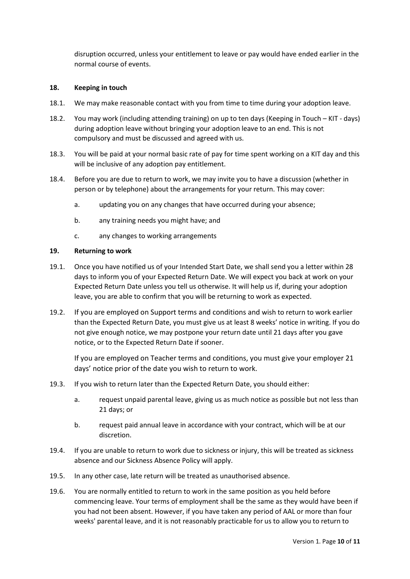disruption occurred, unless your entitlement to leave or pay would have ended earlier in the normal course of events.

#### 18. Keeping in touch

- 18.1. We may make reasonable contact with you from time to time during your adoption leave.
- 18.2. You may work (including attending training) on up to ten days (Keeping in Touch KIT days) during adoption leave without bringing your adoption leave to an end. This is not compulsory and must be discussed and agreed with us.
- 18.3. You will be paid at your normal basic rate of pay for time spent working on a KIT day and this will be inclusive of any adoption pay entitlement.
- 18.4. Before you are due to return to work, we may invite you to have a discussion (whether in person or by telephone) about the arrangements for your return. This may cover:
	- a. updating you on any changes that have occurred during your absence;
	- b. any training needs you might have; and
	- c. any changes to working arrangements

#### 19. Returning to work

- 19.1. Once you have notified us of your Intended Start Date, we shall send you a letter within 28 days to inform you of your Expected Return Date. We will expect you back at work on your Expected Return Date unless you tell us otherwise. It will help us if, during your adoption leave, you are able to confirm that you will be returning to work as expected.
- 19.2. If you are employed on Support terms and conditions and wish to return to work earlier than the Expected Return Date, you must give us at least 8 weeks' notice in writing. If you do not give enough notice, we may postpone your return date until 21 days after you gave notice, or to the Expected Return Date if sooner.

If you are employed on Teacher terms and conditions, you must give your employer 21 days' notice prior of the date you wish to return to work.

- 19.3. If you wish to return later than the Expected Return Date, you should either:
	- a. request unpaid parental leave, giving us as much notice as possible but not less than 21 days; or
	- b. request paid annual leave in accordance with your contract, which will be at our discretion.
- 19.4. If you are unable to return to work due to sickness or injury, this will be treated as sickness absence and our Sickness Absence Policy will apply.
- 19.5. In any other case, late return will be treated as unauthorised absence.
- 19.6. You are normally entitled to return to work in the same position as you held before commencing leave. Your terms of employment shall be the same as they would have been if you had not been absent. However, if you have taken any period of AAL or more than four weeks' parental leave, and it is not reasonably practicable for us to allow you to return to